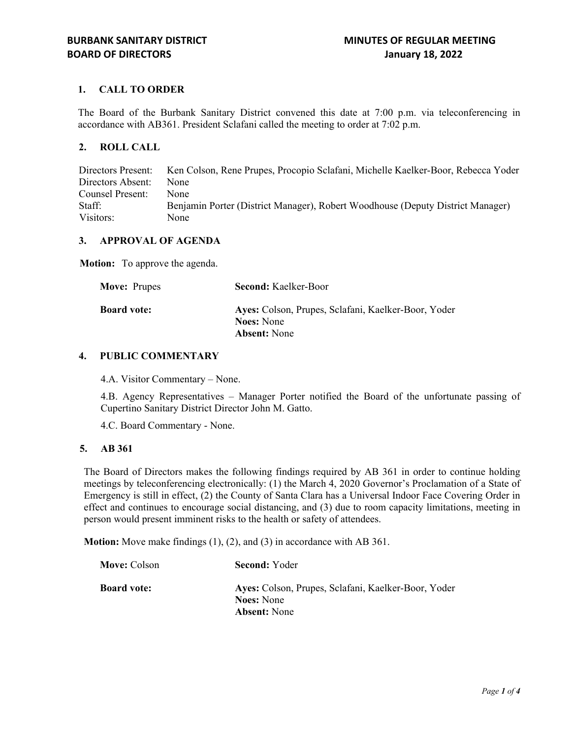# **1. CALL TO ORDER**

The Board of the Burbank Sanitary District convened this date at 7:00 p.m. via teleconferencing in accordance with AB361. President Sclafani called the meeting to order at 7:02 p.m.

# **2. ROLL CALL**

Directors Present: Ken Colson, Rene Prupes, Procopio Sclafani, Michelle Kaelker-Boor, Rebecca Yoder Directors Absent: None Counsel Present: None Staff: Benjamin Porter (District Manager), Robert Woodhouse (Deputy District Manager) Visitors: None

# **3. APPROVAL OF AGENDA**

**Motion:** To approve the agenda.

| <b>Second:</b> Kaelker-Boor                                                                     |
|-------------------------------------------------------------------------------------------------|
| Ayes: Colson, Prupes, Sclafani, Kaelker-Boor, Yoder<br><b>Noes:</b> None<br><b>Absent:</b> None |
|                                                                                                 |

## **4. PUBLIC COMMENTARY**

4.A. Visitor Commentary – None.

4.B. Agency Representatives – Manager Porter notified the Board of the unfortunate passing of Cupertino Sanitary District Director John M. Gatto.

4.C. Board Commentary - None.

#### **5. AB 361**

The Board of Directors makes the following findings required by AB 361 in order to continue holding meetings by teleconferencing electronically: (1) the March 4, 2020 Governor's Proclamation of a State of Emergency is still in effect, (2) the County of Santa Clara has a Universal Indoor Face Covering Order in effect and continues to encourage social distancing, and (3) due to room capacity limitations, meeting in person would present imminent risks to the health or safety of attendees.

**Motion:** Move make findings (1), (2), and (3) in accordance with AB 361.

| Ayes: Colson, Prupes, Sclafani, Kaelker-Boor, Yoder |
|-----------------------------------------------------|
|                                                     |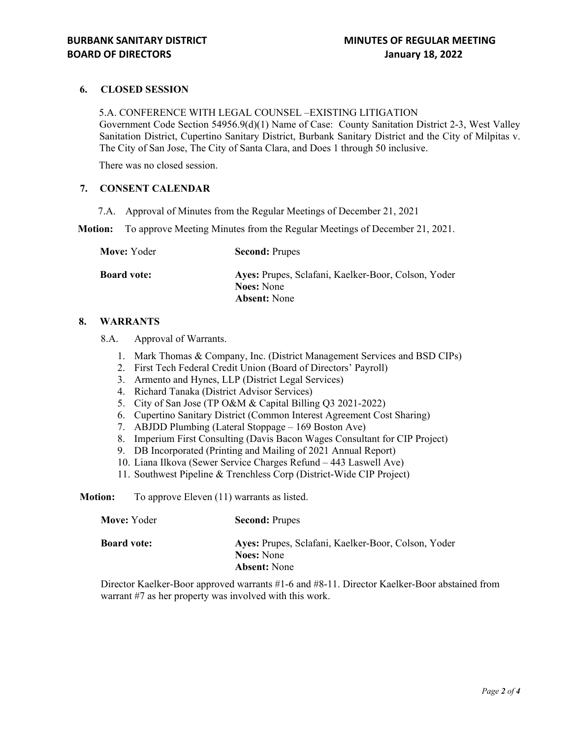## **6. CLOSED SESSION**

5.A. CONFERENCE WITH LEGAL COUNSEL –EXISTING LITIGATION Government Code Section 54956.9(d)(1) Name of Case: County Sanitation District 2-3, West Valley Sanitation District, Cupertino Sanitary District, Burbank Sanitary District and the City of Milpitas v. The City of San Jose, The City of Santa Clara, and Does 1 through 50 inclusive.

There was no closed session.

### **7. CONSENT CALENDAR**

7.A. Approval of Minutes from the Regular Meetings of December 21, 2021

**Motion:** To approve Meeting Minutes from the Regular Meetings of December 21, 2021.

| Move: Yoder        | <b>Second: Prupes</b>                                                                           |
|--------------------|-------------------------------------------------------------------------------------------------|
| <b>Board vote:</b> | Ayes: Prupes, Sclafani, Kaelker-Boor, Colson, Yoder<br><b>Noes:</b> None<br><b>Absent:</b> None |
|                    |                                                                                                 |

### **8. WARRANTS**

8.A. Approval of Warrants.

- 1. Mark Thomas & Company, Inc. (District Management Services and BSD CIPs)
- 2. First Tech Federal Credit Union (Board of Directors' Payroll)
- 3. Armento and Hynes, LLP (District Legal Services)
- 4. Richard Tanaka (District Advisor Services)
- 5. City of San Jose (TP O&M & Capital Billing Q3 2021-2022)
- 6. Cupertino Sanitary District (Common Interest Agreement Cost Sharing)
- 7. ABJDD Plumbing (Lateral Stoppage 169 Boston Ave)
- 8. Imperium First Consulting (Davis Bacon Wages Consultant for CIP Project)
- 9. DB Incorporated (Printing and Mailing of 2021 Annual Report)
- 10. Liana Ilkova (Sewer Service Charges Refund 443 Laswell Ave)
- 11. Southwest Pipeline & Trenchless Corp (District-Wide CIP Project)

**Motion:** To approve Eleven (11) warrants as listed.

| Move: Yoder        | <b>Second: Prupes</b>                                                                           |
|--------------------|-------------------------------------------------------------------------------------------------|
| <b>Board vote:</b> | Ayes: Prupes, Sclafani, Kaelker-Boor, Colson, Yoder<br><b>Noes:</b> None<br><b>Absent:</b> None |

Director Kaelker-Boor approved warrants #1-6 and #8-11. Director Kaelker-Boor abstained from warrant #7 as her property was involved with this work.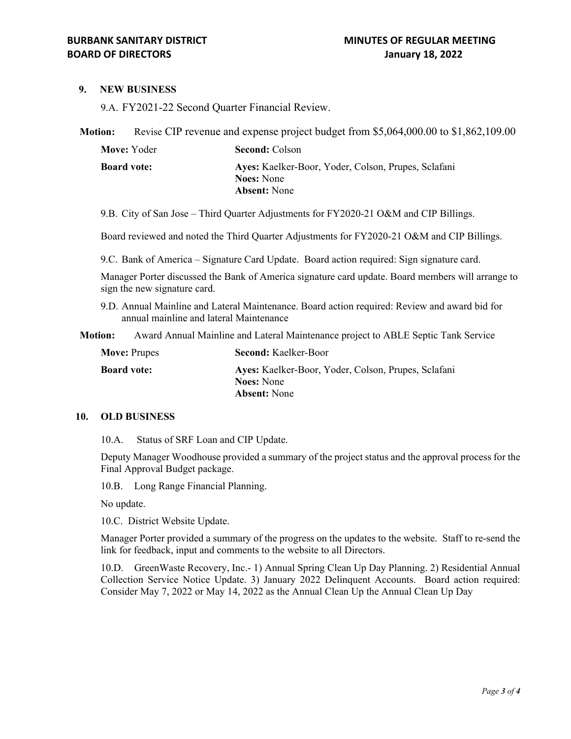### **9. NEW BUSINESS**

9.A. FY2021-22 Second Quarter Financial Review.

**Motion:** Revise CIP revenue and expense project budget from \$5,064,000.00 to \$1,862,109.00

| Move: Yoder        | <b>Second: Colson</b>                                                    |
|--------------------|--------------------------------------------------------------------------|
| <b>Board vote:</b> | Ayes: Kaelker-Boor, Yoder, Colson, Prupes, Sclafani<br><b>Noes:</b> None |
|                    | <b>Absent:</b> None                                                      |

9.B. City of San Jose – Third Quarter Adjustments for FY2020-21 O&M and CIP Billings.

Board reviewed and noted the Third Quarter Adjustments for FY2020-21 O&M and CIP Billings.

9.C. Bank of America – Signature Card Update. Board action required: Sign signature card.

Manager Porter discussed the Bank of America signature card update. Board members will arrange to sign the new signature card.

9.D. Annual Mainline and Lateral Maintenance. Board action required: Review and award bid for annual mainline and lateral Maintenance

**Motion:** Award Annual Mainline and Lateral Maintenance project to ABLE Septic Tank Service

| <b>Move: Prupes</b> | <b>Second: Kaelker-Boor</b>                         |
|---------------------|-----------------------------------------------------|
| <b>Board vote:</b>  | Ayes: Kaelker-Boor, Yoder, Colson, Prupes, Sclafani |
|                     | <b>Noes:</b> None                                   |
|                     | <b>Absent:</b> None                                 |

#### **10. OLD BUSINESS**

10.A. Status of SRF Loan and CIP Update.

Deputy Manager Woodhouse provided a summary of the project status and the approval process for the Final Approval Budget package.

10.B. Long Range Financial Planning.

No update.

10.C. District Website Update.

Manager Porter provided a summary of the progress on the updates to the website. Staff to re-send the link for feedback, input and comments to the website to all Directors.

10.D. GreenWaste Recovery, Inc.- 1) Annual Spring Clean Up Day Planning. 2) Residential Annual Collection Service Notice Update. 3) January 2022 Delinquent Accounts. Board action required: Consider May 7, 2022 or May 14, 2022 as the Annual Clean Up the Annual Clean Up Day